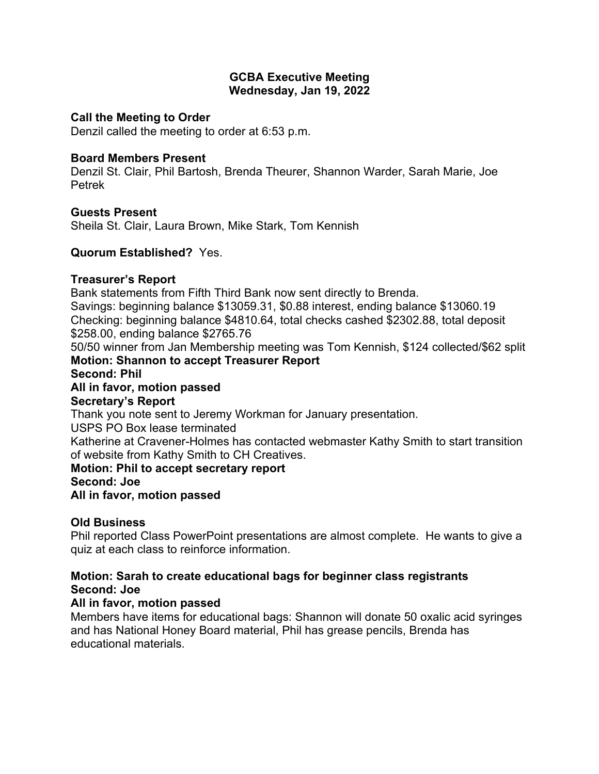## **GCBA Executive Meeting Wednesday, Jan 19, 2022**

## **Call the Meeting to Order**

Denzil called the meeting to order at 6:53 p.m.

## **Board Members Present**

Denzil St. Clair, Phil Bartosh, Brenda Theurer, Shannon Warder, Sarah Marie, Joe Petrek

## **Guests Present**

Sheila St. Clair, Laura Brown, Mike Stark, Tom Kennish

## **Quorum Established?** Yes.

### **Treasurer's Report**

Bank statements from Fifth Third Bank now sent directly to Brenda.

Savings: beginning balance \$13059.31, \$0.88 interest, ending balance \$13060.19 Checking: beginning balance \$4810.64, total checks cashed \$2302.88, total deposit \$258.00, ending balance \$2765.76

50/50 winner from Jan Membership meeting was Tom Kennish, \$124 collected/\$62 split **Motion: Shannon to accept Treasurer Report**

### **Second: Phil**

**All in favor, motion passed**

### **Secretary's Report**

Thank you note sent to Jeremy Workman for January presentation.

USPS PO Box lease terminated

Katherine at Cravener-Holmes has contacted webmaster Kathy Smith to start transition of website from Kathy Smith to CH Creatives.

**Motion: Phil to accept secretary report Second: Joe All in favor, motion passed**

# **Old Business**

Phil reported Class PowerPoint presentations are almost complete. He wants to give a quiz at each class to reinforce information.

# **Motion: Sarah to create educational bags for beginner class registrants Second: Joe**

# **All in favor, motion passed**

Members have items for educational bags: Shannon will donate 50 oxalic acid syringes and has National Honey Board material, Phil has grease pencils, Brenda has educational materials.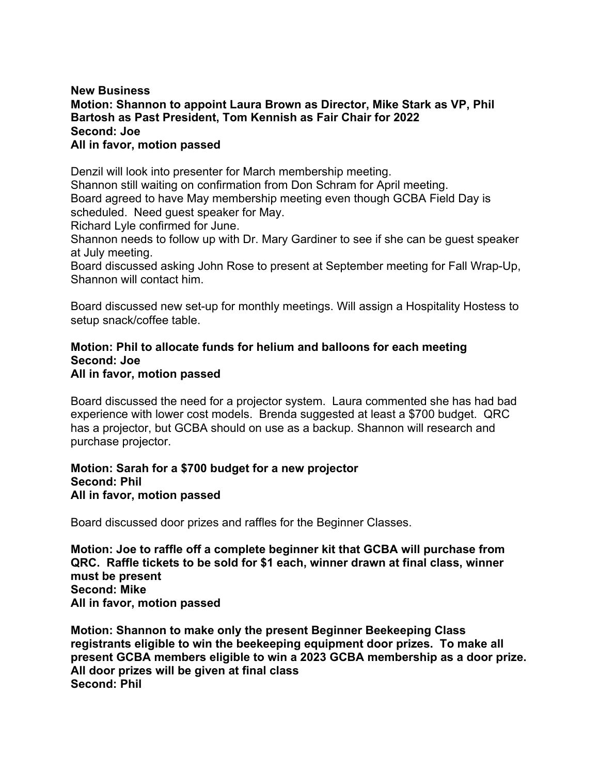## **New Business Motion: Shannon to appoint Laura Brown as Director, Mike Stark as VP, Phil Bartosh as Past President, Tom Kennish as Fair Chair for 2022 Second: Joe All in favor, motion passed**

Denzil will look into presenter for March membership meeting. Shannon still waiting on confirmation from Don Schram for April meeting. Board agreed to have May membership meeting even though GCBA Field Day is scheduled. Need guest speaker for May. Richard Lyle confirmed for June.

Shannon needs to follow up with Dr. Mary Gardiner to see if she can be guest speaker at July meeting.

Board discussed asking John Rose to present at September meeting for Fall Wrap-Up, Shannon will contact him.

Board discussed new set-up for monthly meetings. Will assign a Hospitality Hostess to setup snack/coffee table.

### **Motion: Phil to allocate funds for helium and balloons for each meeting Second: Joe All in favor, motion passed**

Board discussed the need for a projector system. Laura commented she has had bad experience with lower cost models. Brenda suggested at least a \$700 budget. QRC has a projector, but GCBA should on use as a backup. Shannon will research and purchase projector.

## **Motion: Sarah for a \$700 budget for a new projector Second: Phil All in favor, motion passed**

Board discussed door prizes and raffles for the Beginner Classes.

**Motion: Joe to raffle off a complete beginner kit that GCBA will purchase from QRC. Raffle tickets to be sold for \$1 each, winner drawn at final class, winner must be present Second: Mike All in favor, motion passed**

**Motion: Shannon to make only the present Beginner Beekeeping Class registrants eligible to win the beekeeping equipment door prizes. To make all present GCBA members eligible to win a 2023 GCBA membership as a door prize. All door prizes will be given at final class Second: Phil**